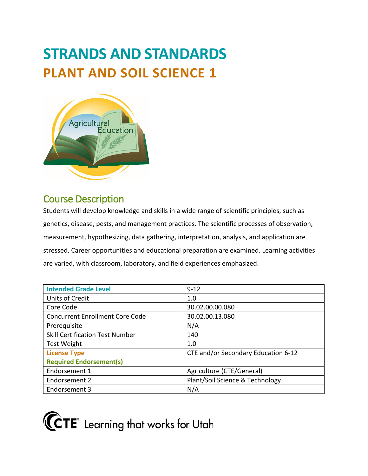# **STRANDS AND STANDARDS PLANT AND SOIL SCIENCE 1**



## Course Description

Students will develop knowledge and skills in a wide range of scientific principles, such as genetics, disease, pests, and management practices. The scientific processes of observation, measurement, hypothesizing, data gathering, interpretation, analysis, and application are stressed. Career opportunities and educational preparation are examined. Learning activities are varied, with classroom, laboratory, and field experiences emphasized.

| <b>Intended Grade Level</b>            | $9 - 12$                            |
|----------------------------------------|-------------------------------------|
| Units of Credit                        | 1.0                                 |
| Core Code                              | 30.02.00.00.080                     |
| <b>Concurrent Enrollment Core Code</b> | 30.02.00.13.080                     |
| Prerequisite                           | N/A                                 |
| <b>Skill Certification Test Number</b> | 140                                 |
| <b>Test Weight</b>                     | 1.0                                 |
| <b>License Type</b>                    | CTE and/or Secondary Education 6-12 |
| <b>Required Endorsement(s)</b>         |                                     |
| Endorsement 1                          | Agriculture (CTE/General)           |
| Endorsement 2                          | Plant/Soil Science & Technology     |
| Endorsement 3                          | N/A                                 |

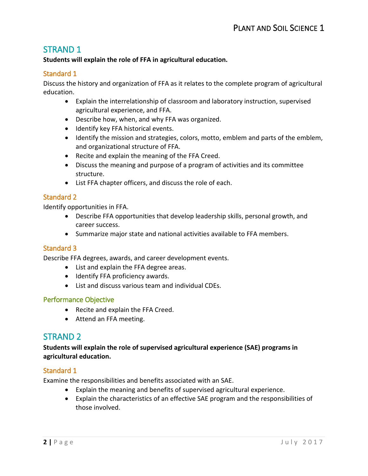## STRAND 1

#### **Students will explain the role of FFA in agricultural education.**

#### Standard 1

Discuss the history and organization of FFA as it relates to the complete program of agricultural education.

- Explain the interrelationship of classroom and laboratory instruction, supervised agricultural experience, and FFA.
- Describe how, when, and why FFA was organized.
- Identify key FFA historical events.
- Identify the mission and strategies, colors, motto, emblem and parts of the emblem, and organizational structure of FFA.
- Recite and explain the meaning of the FFA Creed.
- Discuss the meaning and purpose of a program of activities and its committee structure.
- List FFA chapter officers, and discuss the role of each.

#### Standard 2

Identify opportunities in FFA.

- Describe FFA opportunities that develop leadership skills, personal growth, and career success.
- Summarize major state and national activities available to FFA members.

#### Standard 3

Describe FFA degrees, awards, and career development events.

- List and explain the FFA degree areas.
- Identify FFA proficiency awards.
- List and discuss various team and individual CDEs.

#### Performance Objective

- Recite and explain the FFA Creed.
- Attend an FFA meeting.

## STRAND 2

**Students will explain the role of supervised agricultural experience (SAE) programs in agricultural education.**

#### Standard 1

Examine the responsibilities and benefits associated with an SAE.

- Explain the meaning and benefits of supervised agricultural experience.
- Explain the characteristics of an effective SAE program and the responsibilities of those involved.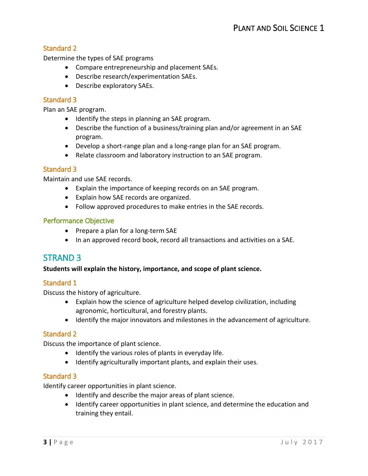#### Standard 2

Determine the types of SAE programs

- Compare entrepreneurship and placement SAEs.
- Describe research/experimentation SAEs.
- Describe exploratory SAEs.

#### Standard 3

Plan an SAE program.

- Identify the steps in planning an SAE program.
- Describe the function of a business/training plan and/or agreement in an SAE program.
- Develop a short-range plan and a long-range plan for an SAE program.
- Relate classroom and laboratory instruction to an SAE program.

#### Standard 3

Maintain and use SAE records.

- Explain the importance of keeping records on an SAE program.
- Explain how SAE records are organized.
- Follow approved procedures to make entries in the SAE records.

#### Performance Objective

- Prepare a plan for a long-term SAE
- In an approved record book, record all transactions and activities on a SAE.

## STRAND 3

#### **Students will explain the history, importance, and scope of plant science.**

#### Standard 1

Discuss the history of agriculture.

- Explain how the science of agriculture helped develop civilization, including agronomic, horticultural, and forestry plants.
- Identify the major innovators and milestones in the advancement of agriculture.

#### Standard 2

Discuss the importance of plant science.

- Identify the various roles of plants in everyday life.
- Identify agriculturally important plants, and explain their uses.

#### Standard 3

Identify career opportunities in plant science.

- Identify and describe the major areas of plant science.
- Identify career opportunities in plant science, and determine the education and training they entail.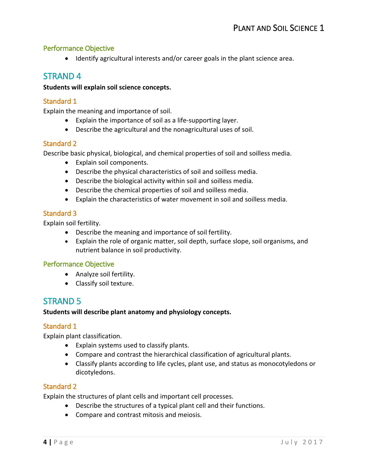#### Performance Objective

• Identify agricultural interests and/or career goals in the plant science area.

## STRAND 4

#### **Students will explain soil science concepts.**

#### Standard 1

Explain the meaning and importance of soil.

- Explain the importance of soil as a life-supporting layer.
- Describe the agricultural and the nonagricultural uses of soil.

#### Standard 2

Describe basic physical, biological, and chemical properties of soil and soilless media.

- Explain soil components.
- Describe the physical characteristics of soil and soilless media.
- Describe the biological activity within soil and soilless media.
- Describe the chemical properties of soil and soilless media.
- Explain the characteristics of water movement in soil and soilless media.

#### Standard 3

Explain soil fertility.

- Describe the meaning and importance of soil fertility.
- Explain the role of organic matter, soil depth, surface slope, soil organisms, and nutrient balance in soil productivity.

#### Performance Objective

- Analyze soil fertility.
- Classify soil texture.

## STRAND 5

#### **Students will describe plant anatomy and physiology concepts.**

#### Standard 1

Explain plant classification.

- Explain systems used to classify plants.
- Compare and contrast the hierarchical classification of agricultural plants.
- Classify plants according to life cycles, plant use, and status as monocotyledons or dicotyledons.

#### Standard 2

Explain the structures of plant cells and important cell processes.

- Describe the structures of a typical plant cell and their functions.
- Compare and contrast mitosis and meiosis.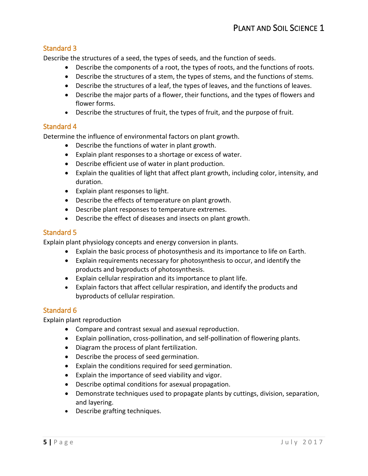#### Standard 3

Describe the structures of a seed, the types of seeds, and the function of seeds.

- Describe the components of a root, the types of roots, and the functions of roots.
- Describe the structures of a stem, the types of stems, and the functions of stems.
- Describe the structures of a leaf, the types of leaves, and the functions of leaves.
- Describe the major parts of a flower, their functions, and the types of flowers and flower forms.
- Describe the structures of fruit, the types of fruit, and the purpose of fruit.

#### Standard 4

Determine the influence of environmental factors on plant growth.

- Describe the functions of water in plant growth.
- Explain plant responses to a shortage or excess of water.
- Describe efficient use of water in plant production.
- Explain the qualities of light that affect plant growth, including color, intensity, and duration.
- Explain plant responses to light.
- Describe the effects of temperature on plant growth.
- Describe plant responses to temperature extremes.
- Describe the effect of diseases and insects on plant growth.

#### Standard 5

Explain plant physiology concepts and energy conversion in plants.

- Explain the basic process of photosynthesis and its importance to life on Earth.
- Explain requirements necessary for photosynthesis to occur, and identify the products and byproducts of photosynthesis.
- Explain cellular respiration and its importance to plant life.
- Explain factors that affect cellular respiration, and identify the products and byproducts of cellular respiration.

#### Standard 6

Explain plant reproduction

- Compare and contrast sexual and asexual reproduction.
- Explain pollination, cross-pollination, and self-pollination of flowering plants.
- Diagram the process of plant fertilization.
- Describe the process of seed germination.
- Explain the conditions required for seed germination.
- Explain the importance of seed viability and vigor.
- Describe optimal conditions for asexual propagation.
- Demonstrate techniques used to propagate plants by cuttings, division, separation, and layering.
- Describe grafting techniques.